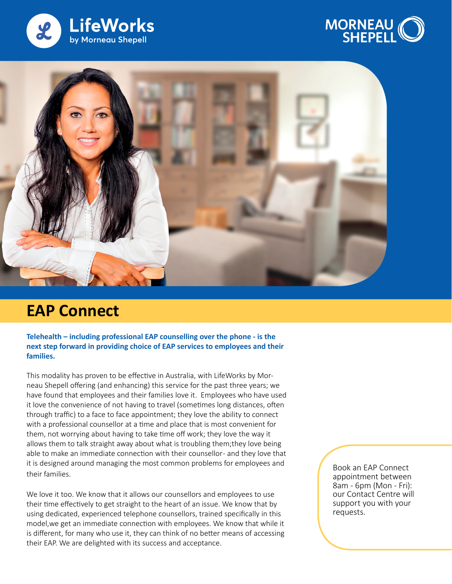





## **EAP Connect**

**Telehealth – including professional EAP counselling over the phone - is the next step forward in providing choice of EAP services to employees and their families.**

This modality has proven to be effective in Australia, with LifeWorks by Morneau Shepell offering (and enhancing) this service for the past three years; we have found that employees and their families love it. Employees who have used it love the convenience of not having to travel (sometimes long distances, often through traffic) to a face to face appointment; they love the ability to connect with a professional counsellor at a time and place that is most convenient for them, not worrying about having to take time off work; they love the way it allows them to talk straight away about what is troubling them;they love being able to make an immediate connection with their counsellor- and they love that it is designed around managing the most common problems for employees and their families.

We love it too. We know that it allows our counsellors and employees to use their time effectively to get straight to the heart of an issue. We know that by using dedicated, experienced telephone counsellors, trained specifically in this model,we get an immediate connection with employees. We know that while it is different, for many who use it, they can think of no better means of accessing their EAP. We are delighted with its success and acceptance.

Book an EAP Connect appointment between 8am - 6pm (Mon - Fri): our Contact Centre will support you with your requests.